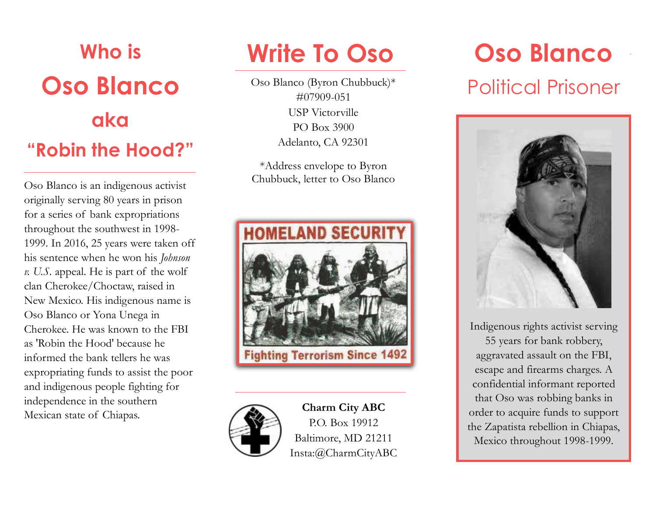

Oso Blanco is an indigenous activist originally serving 80 years in prison for a series of bank expropriations throughout the southwest in 1998- 1999. In 2016, 25 years were taken off his sentence when he won his *Johnson v. U.S.* appeal. He is part of the wolf clan Cherokee/Choctaw, raised in New Mexico. His indigenous name is Oso Blanco or Yona Unega in Cherokee. He was known to the FBI as 'Robin the Hood' because he informed the bank tellers he was expropriating funds to assist the poor and indigenous people fighting for independence in the southern Mexican state of Chiapas.

# **Write To Oso**

Oso Blanco (Byron Chubbuck)\* #07909-051 USP Victorville PO Box 3900 Adelanto, CA 92301

\*Address envelope to Byron Chubbuck, letter to Oso Blanco





**Charm City ABC** P.O. Box 19912 Baltimore, MD 21211 Insta:@CharmCityABC

## **Oso Blanco**  Political Prisoner

Indigenous rights activist serving 55 years for bank robbery, aggravated assault on the FBI, escape and firearms charges. A confidential informant reported that Oso was robbing banks in order to acquire funds to support the Zapatista rebellion in Chiapas, Mexico throughout 1998-1999.